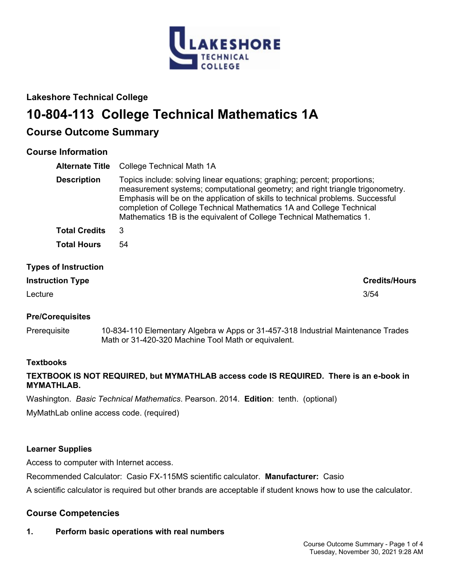

# **Lakeshore Technical College**

# **10-804-113 College Technical Mathematics 1A**

# **Course Outcome Summary**

# **Course Information**

| <b>Alternate Title</b>      | <b>College Technical Math 1A</b>                                                                                                                                                                                                                                                                                                                                                              |
|-----------------------------|-----------------------------------------------------------------------------------------------------------------------------------------------------------------------------------------------------------------------------------------------------------------------------------------------------------------------------------------------------------------------------------------------|
| <b>Description</b>          | Topics include: solving linear equations; graphing; percent; proportions;<br>measurement systems; computational geometry; and right triangle trigonometry.<br>Emphasis will be on the application of skills to technical problems. Successful<br>completion of College Technical Mathematics 1A and College Technical<br>Mathematics 1B is the equivalent of College Technical Mathematics 1. |
| <b>Total Credits</b>        | 3                                                                                                                                                                                                                                                                                                                                                                                             |
| <b>Total Hours</b>          | 54                                                                                                                                                                                                                                                                                                                                                                                            |
| <b>Types of Instruction</b> |                                                                                                                                                                                                                                                                                                                                                                                               |

# **Instruction Type Credits/Hours**

Lecture 3/54

### **Pre/Corequisites**

Prerequisite 10-834-110 Elementary Algebra w Apps or 31-457-318 Industrial Maintenance Trades Math or 31-420-320 Machine Tool Math or equivalent.

### **Textbooks**

## **TEXTBOOK IS NOT REQUIRED, but MYMATHLAB access code IS REQUIRED. There is an e-book in MYMATHLAB.**

Washington. *Basic Technical Mathematics*. Pearson. 2014. **Edition**: tenth. (optional)

MyMathLab online access code. (required)

### **Learner Supplies**

Access to computer with Internet access.

Recommended Calculator: Casio FX-115MS scientific calculator. **Manufacturer:** Casio

A scientific calculator is required but other brands are acceptable if student knows how to use the calculator.

### **Course Competencies**

# **1. Perform basic operations with real numbers**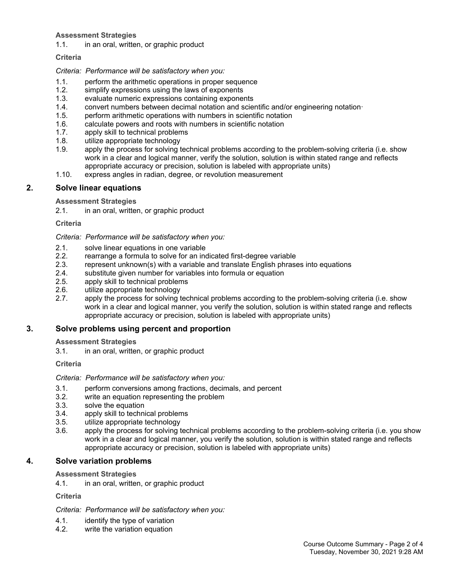#### **Assessment Strategies**

1.1. in an oral, written, or graphic product

#### **Criteria**

#### *Criteria: Performance will be satisfactory when you:*

- 1.1. perform the arithmetic operations in proper sequence
- 1.2. simplify expressions using the laws of exponents
- 1.3. evaluate numeric expressions containing exponents
- 1.4. convert numbers between decimal notation and scientific and/or engineering notation·
- 1.5. perform arithmetic operations with numbers in scientific notation
- 1.6. calculate powers and roots with numbers in scientific notation
- 1.7. apply skill to technical problems
- 1.8. utilize appropriate technology
- 1.9. apply the process for solving technical problems according to the problem-solving criteria (i.e. show work in a clear and logical manner, verify the solution, solution is within stated range and reflects appropriate accuracy or precision, solution is labeled with appropriate units)
- 1.10. express angles in radian, degree, or revolution measurement

#### **2. Solve linear equations**

#### **Assessment Strategies**

2.1. in an oral, written, or graphic product

#### **Criteria**

*Criteria: Performance will be satisfactory when you:*

- 2.1. solve linear equations in one variable<br>2.2. earrange a formula to solve for an ing
- 2.2. rearrange a formula to solve for an indicated first-degree variable
- 2.3. represent unknown(s) with a variable and translate English phrases into equations
- 2.4. substitute given number for variables into formula or equation
- 2.5. apply skill to technical problems
- 2.6. utilize appropriate technology<br>2.7. apply the process for solving to
- apply the process for solving technical problems according to the problem-solving criteria (i.e. show work in a clear and logical manner, you verify the solution, solution is within stated range and reflects appropriate accuracy or precision, solution is labeled with appropriate units)

#### **3. Solve problems using percent and proportion**

**Assessment Strategies**

3.1. in an oral, written, or graphic product

#### **Criteria**

*Criteria: Performance will be satisfactory when you:*

- 3.1. perform conversions among fractions, decimals, and percent
- 3.2. write an equation representing the problem
- 3.3. solve the equation
- 3.4. apply skill to technical problems
- 3.5. utilize appropriate technology
- 3.6. apply the process for solving technical problems according to the problem-solving criteria (i.e. you show work in a clear and logical manner, you verify the solution, solution is within stated range and reflects appropriate accuracy or precision, solution is labeled with appropriate units)

### **4. Solve variation problems**

#### **Assessment Strategies**

4.1. in an oral, written, or graphic product

#### **Criteria**

*Criteria: Performance will be satisfactory when you:*

- 4.1. identify the type of variation
- 4.2. write the variation equation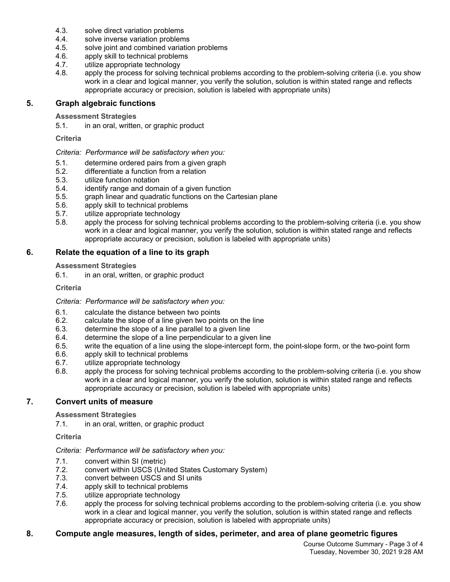- 4.3. solve direct variation problems
- 4.4. solve inverse variation problems
- 4.5. solve joint and combined variation problems
- 4.6. apply skill to technical problems
- 4.7. utilize appropriate technology<br>4.8. apply the process for solving to
- apply the process for solving technical problems according to the problem-solving criteria (i.e. you show work in a clear and logical manner, you verify the solution, solution is within stated range and reflects appropriate accuracy or precision, solution is labeled with appropriate units)

### **5. Graph algebraic functions**

#### **Assessment Strategies**

5.1. in an oral, written, or graphic product

#### **Criteria**

#### *Criteria: Performance will be satisfactory when you:*

- 5.1. determine ordered pairs from a given graph
- 5.2. differentiate a function from a relation
- 5.3. utilize function notation
- 5.4. identify range and domain of a given function
- 5.5. graph linear and quadratic functions on the Cartesian plane
- 5.6. apply skill to technical problems
- 5.7. utilize appropriate technology
- 5.8. apply the process for solving technical problems according to the problem-solving criteria (i.e. you show work in a clear and logical manner, you verify the solution, solution is within stated range and reflects appropriate accuracy or precision, solution is labeled with appropriate units)

### **6. Relate the equation of a line to its graph**

#### **Assessment Strategies**

6.1. in an oral, written, or graphic product

#### **Criteria**

#### *Criteria: Performance will be satisfactory when you:*

- 6.1. calculate the distance between two points
- 6.2. calculate the slope of a line given two points on the line
- 6.3. determine the slope of a line parallel to a given line
- 6.4. determine the slope of a line perpendicular to a given line
- 6.5. write the equation of a line using the slope-intercept form, the point-slope form, or the two-point form
- 6.6. apply skill to technical problems
- 6.7. utilize appropriate technology
- 6.8. apply the process for solving technical problems according to the problem-solving criteria (i.e. you show work in a clear and logical manner, you verify the solution, solution is within stated range and reflects appropriate accuracy or precision, solution is labeled with appropriate units)

### **7. Convert units of measure**

#### **Assessment Strategies**

7.1. in an oral, written, or graphic product

#### **Criteria**

#### *Criteria: Performance will be satisfactory when you:*

- 7.1. convert within SI (metric)
- 7.2. convert within USCS (United States Customary System)
- 7.3. convert between USCS and SI units
- 7.4. apply skill to technical problems
- 7.5. utilize appropriate technology
- 7.6. apply the process for solving technical problems according to the problem-solving criteria (i.e. you show work in a clear and logical manner, you verify the solution, solution is within stated range and reflects appropriate accuracy or precision, solution is labeled with appropriate units)

#### **8. Compute angle measures, length of sides, perimeter, and area of plane geometric figures**